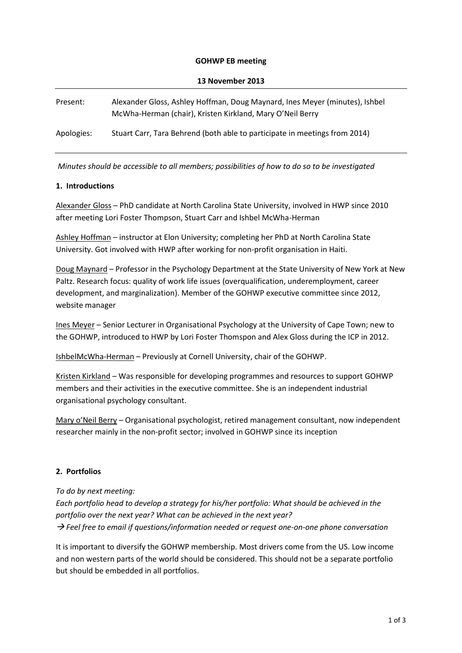#### **GOHWP EB meeting**

| 13 November 2013 |                                                                                                                                          |
|------------------|------------------------------------------------------------------------------------------------------------------------------------------|
| Present:         | Alexander Gloss, Ashley Hoffman, Doug Maynard, Ines Meyer (minutes), Ishbel<br>McWha-Herman (chair), Kristen Kirkland, Mary O'Neil Berry |
| Apologies:       | Stuart Carr, Tara Behrend (both able to participate in meetings from 2014)                                                               |

*Minutes should be accessible to all members; possibilities of how to do so to be investigated*

### **1. Introductions**

Alexander Gloss – PhD candidate at North Carolina State University, involved in HWP since 2010 after meeting Lori Foster Thompson, Stuart Carr and Ishbel McWha-Herman

Ashley Hoffman – instructor at Elon University; completing her PhD at North Carolina State University. Got involved with HWP after working for non-profit organisation in Haiti.

Doug Maynard – Professor in the Psychology Department at the State University of New York at New Paltz. Research focus: quality of work life issues (overqualification, underemployment, career development, and marginalization). Member of the GOHWP executive committee since 2012, website manager

Ines Meyer – Senior Lecturer in Organisational Psychology at the University of Cape Town; new to the GOHWP, introduced to HWP by Lori Foster Thomspon and Alex Gloss during the ICP in 2012.

IshbelMcWha-Herman – Previously at Cornell University, chair of the GOHWP.

Kristen Kirkland – Was responsible for developing programmes and resources to support GOHWP members and their activities in the executive committee. She is an independent industrial organisational psychology consultant.

Mary o'Neil Berry – Organisational psychologist, retired management consultant, now independent researcher mainly in the non-profit sector; involved in GOHWP since its inception

### **2. Portfolios**

*To do by next meeting:* 

*Each portfolio head to develop a strategy for his/her portfolio: What should be achieved in the portfolio over the next year? What can be achieved in the next year? Feel free to email if questions/information needed or request one-on-one phone conversation*

It is important to diversify the GOHWP membership. Most drivers come from the US. Low income and non western parts of the world should be considered. This should not be a separate portfolio but should be embedded in all portfolios.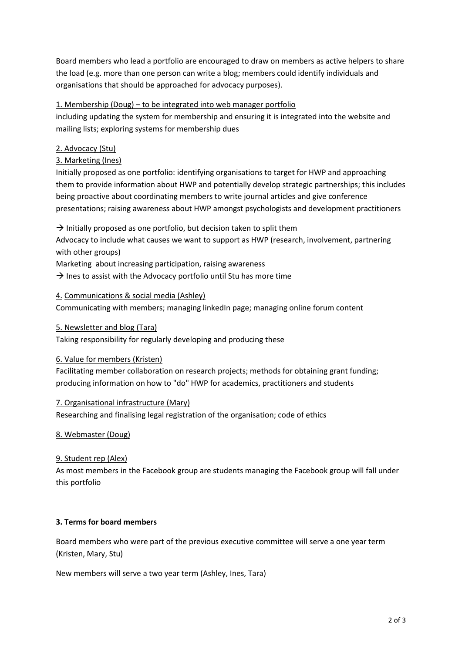Board members who lead a portfolio are encouraged to draw on members as active helpers to share the load (e.g. more than one person can write a blog; members could identify individuals and organisations that should be approached for advocacy purposes).

# 1. Membership (Doug) – to be integrated into web manager portfolio

including updating the system for membership and ensuring it is integrated into the website and mailing lists; exploring systems for membership dues

# 2. Advocacy (Stu)

# 3. Marketing (Ines)

Initially proposed as one portfolio: identifying organisations to target for HWP and approaching them to provide information about HWP and potentially develop strategic partnerships; this includes being proactive about coordinating members to write journal articles and give conference presentations; raising awareness about HWP amongst psychologists and development practitioners

 $\rightarrow$  Initially proposed as one portfolio, but decision taken to split them

Advocacy to include what causes we want to support as HWP (research, involvement, partnering with other groups)

Marketing about increasing participation, raising awareness

 $\rightarrow$  lnes to assist with the Advocacy portfolio until Stu has more time

### 4. Communications & social media (Ashley)

Communicating with members; managing linkedIn page; managing online forum content

### 5. Newsletter and blog (Tara)

Taking responsibility for regularly developing and producing these

### 6. Value for members (Kristen)

Facilitating member collaboration on research projects; methods for obtaining grant funding; producing information on how to "do" HWP for academics, practitioners and students

### 7. Organisational infrastructure (Mary)

Researching and finalising legal registration of the organisation; code of ethics

### 8. Webmaster (Doug)

### 9. Student rep (Alex)

As most members in the Facebook group are students managing the Facebook group will fall under this portfolio

### **3. Terms for board members**

Board members who were part of the previous executive committee will serve a one year term (Kristen, Mary, Stu)

New members will serve a two year term (Ashley, Ines, Tara)